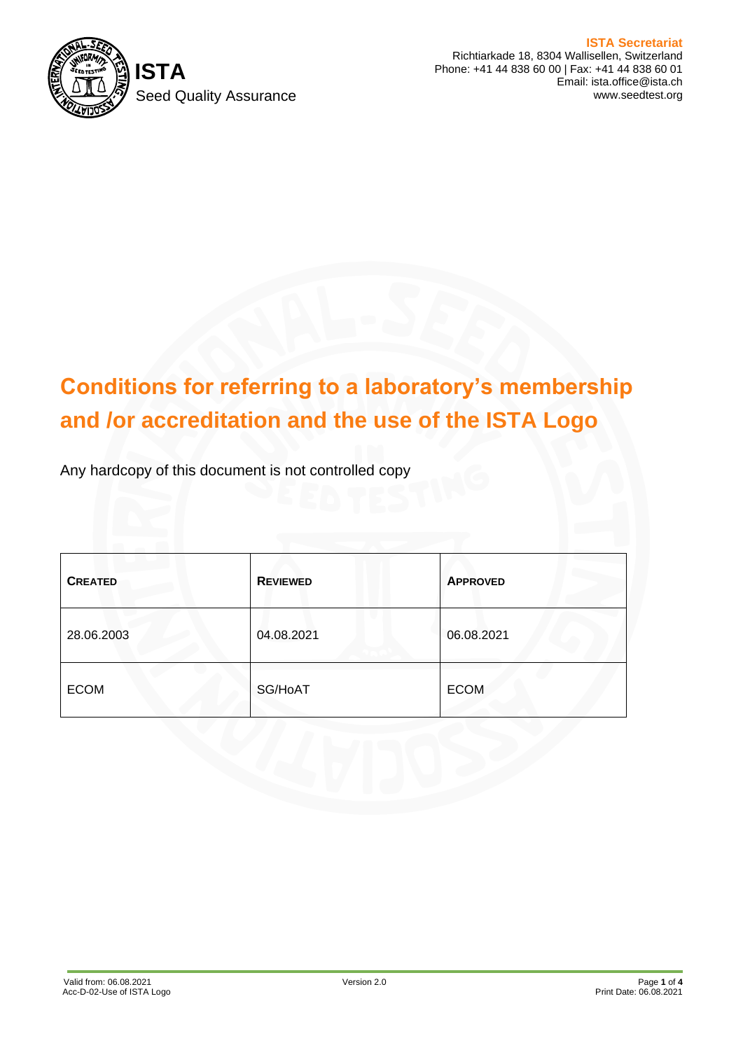

**ISTA Secretariat** Richtiarkade 18, 8304 Wallisellen, Switzerland Phone: +41 44 838 60 00 | Fax: +41 44 838 60 01 Email: ista.office@ista.ch www.seedtest.org

# **Conditions for referring to a laboratory's membership and /or accreditation and the use of the ISTA Logo**

Any hardcopy of this document is not controlled copy

| <b>CREATED</b> | <b>REVIEWED</b> | <b>APPROVED</b> |
|----------------|-----------------|-----------------|
| 28.06.2003     | 04.08.2021      | 06.08.2021      |
| <b>ECOM</b>    | SG/HoAT         | <b>ECOM</b>     |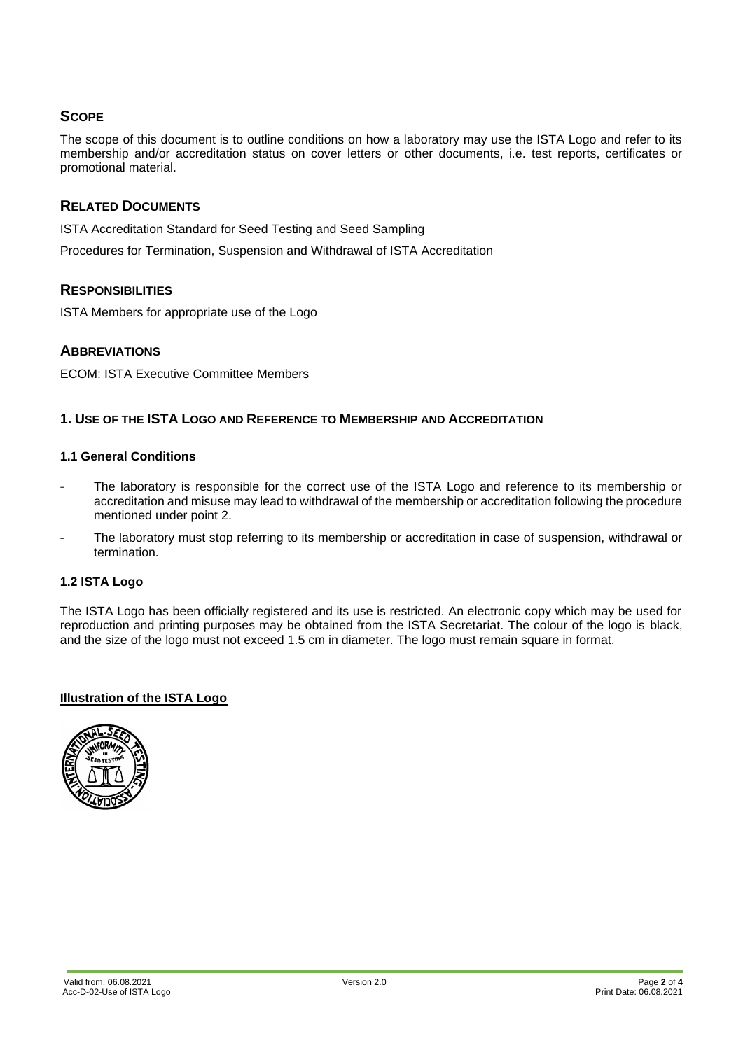# **SCOPE**

The scope of this document is to outline conditions on how a laboratory may use the ISTA Logo and refer to its membership and/or accreditation status on cover letters or other documents, i.e. test reports, certificates or promotional material.

## **RELATED DOCUMENTS**

ISTA Accreditation Standard for Seed Testing and Seed Sampling

Procedures for Termination, Suspension and Withdrawal of ISTA Accreditation

## **RESPONSIBILITIES**

ISTA Members for appropriate use of the Logo

## **ABBREVIATIONS**

ECOM: ISTA Executive Committee Members

## **1. USE OF THE ISTA LOGO AND REFERENCE TO MEMBERSHIP AND ACCREDITATION**

#### **1.1 General Conditions**

- The laboratory is responsible for the correct use of the ISTA Logo and reference to its membership or accreditation and misuse may lead to withdrawal of the membership or accreditation following the procedure mentioned under point 2.
- The laboratory must stop referring to its membership or accreditation in case of suspension, withdrawal or termination.

## **1.2 ISTA Logo**

The ISTA Logo has been officially registered and its use is restricted. An electronic copy which may be used for reproduction and printing purposes may be obtained from the ISTA Secretariat. The colour of the logo is black, and the size of the logo must not exceed 1.5 cm in diameter. The logo must remain square in format.

#### **Illustration of the ISTA Logo**

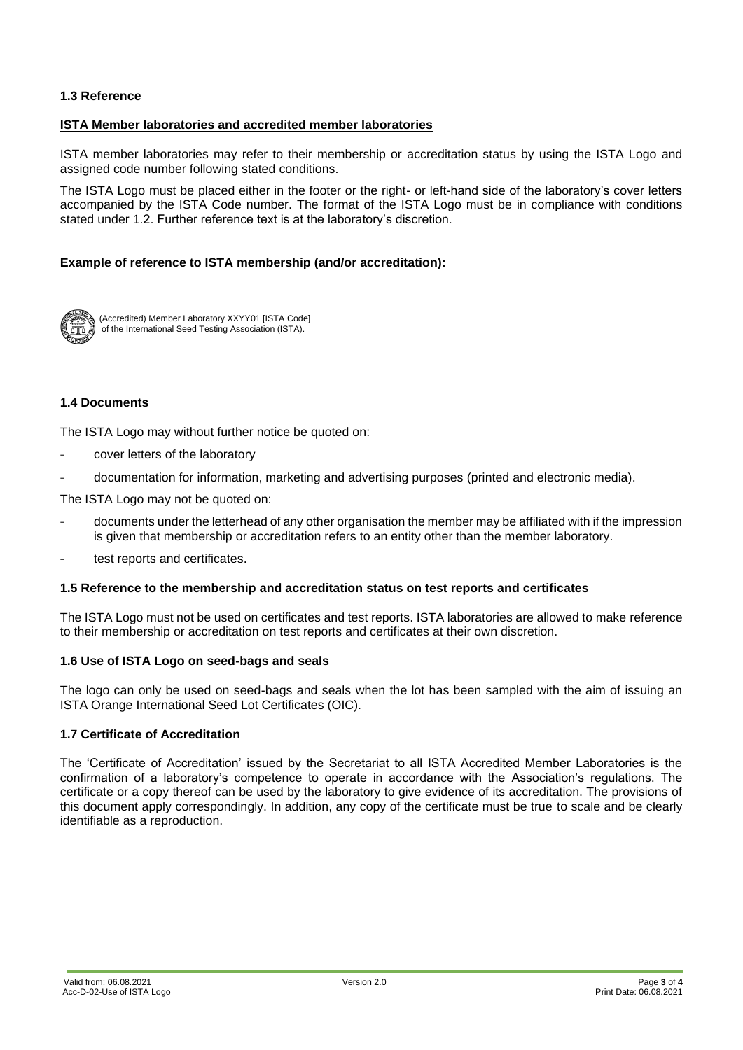#### **1.3 Reference**

#### **ISTA Member laboratories and accredited member laboratories**

ISTA member laboratories may refer to their membership or accreditation status by using the ISTA Logo and assigned code number following stated conditions.

The ISTA Logo must be placed either in the footer or the right- or left-hand side of the laboratory's cover letters accompanied by the ISTA Code number. The format of the ISTA Logo must be in compliance with conditions stated under 1.2. Further reference text is at the laboratory's discretion.

#### **Example of reference to ISTA membership (and/or accreditation):**



(Accredited) Member Laboratory XXYY01 [ISTA Code] of the International Seed Testing Association (ISTA).

#### **1.4 Documents**

The ISTA Logo may without further notice be quoted on:

- cover letters of the laboratory
- documentation for information, marketing and advertising purposes (printed and electronic media).

The ISTA Logo may not be quoted on:

- documents under the letterhead of any other organisation the member may be affiliated with if the impression is given that membership or accreditation refers to an entity other than the member laboratory.
- test reports and certificates.

#### **1.5 Reference to the membership and accreditation status on test reports and certificates**

The ISTA Logo must not be used on certificates and test reports. ISTA laboratories are allowed to make reference to their membership or accreditation on test reports and certificates at their own discretion.

#### **1.6 Use of ISTA Logo on seed-bags and seals**

The logo can only be used on seed-bags and seals when the lot has been sampled with the aim of issuing an ISTA Orange International Seed Lot Certificates (OIC).

#### **1.7 Certificate of Accreditation**

The 'Certificate of Accreditation' issued by the Secretariat to all ISTA Accredited Member Laboratories is the confirmation of a laboratory's competence to operate in accordance with the Association's regulations. The certificate or a copy thereof can be used by the laboratory to give evidence of its accreditation. The provisions of this document apply correspondingly. In addition, any copy of the certificate must be true to scale and be clearly identifiable as a reproduction.